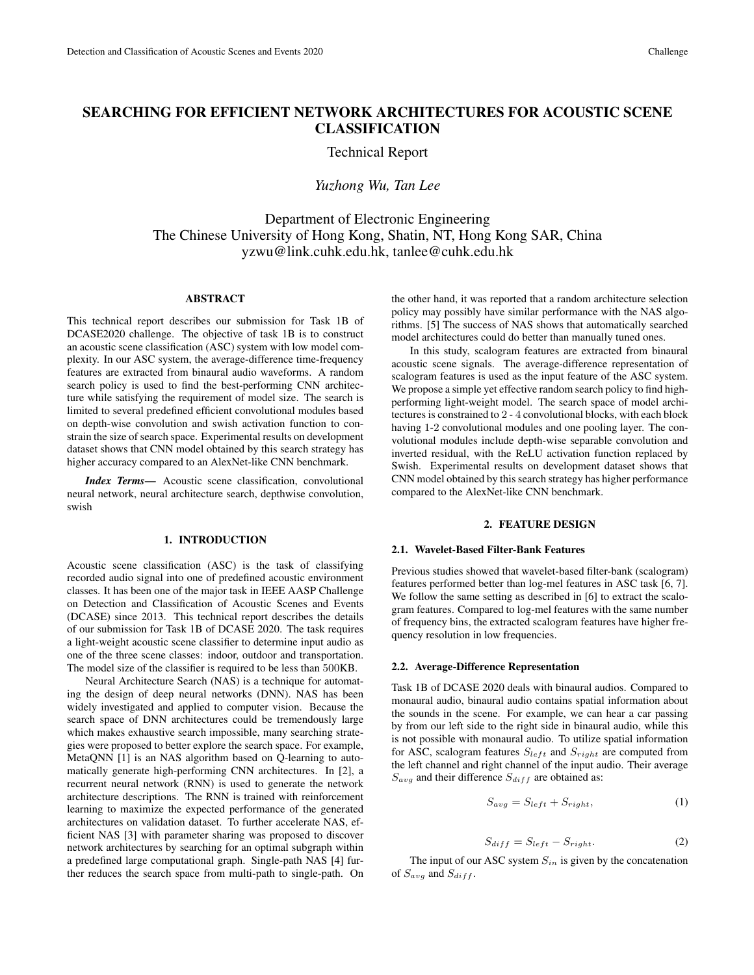# SEARCHING FOR EFFICIENT NETWORK ARCHITECTURES FOR ACOUSTIC SCENE CLASSIFICATION

Technical Report

*Yuzhong Wu, Tan Lee*

Department of Electronic Engineering The Chinese University of Hong Kong, Shatin, NT, Hong Kong SAR, China yzwu@link.cuhk.edu.hk, tanlee@cuhk.edu.hk

# ABSTRACT

This technical report describes our submission for Task 1B of DCASE2020 challenge. The objective of task 1B is to construct an acoustic scene classification (ASC) system with low model complexity. In our ASC system, the average-difference time-frequency features are extracted from binaural audio waveforms. A random search policy is used to find the best-performing CNN architecture while satisfying the requirement of model size. The search is limited to several predefined efficient convolutional modules based on depth-wise convolution and swish activation function to constrain the size of search space. Experimental results on development dataset shows that CNN model obtained by this search strategy has higher accuracy compared to an AlexNet-like CNN benchmark.

*Index Terms*— Acoustic scene classification, convolutional neural network, neural architecture search, depthwise convolution, swish

# 1. INTRODUCTION

Acoustic scene classification (ASC) is the task of classifying recorded audio signal into one of predefined acoustic environment classes. It has been one of the major task in IEEE AASP Challenge on Detection and Classification of Acoustic Scenes and Events (DCASE) since 2013. This technical report describes the details of our submission for Task 1B of DCASE 2020. The task requires a light-weight acoustic scene classifier to determine input audio as one of the three scene classes: indoor, outdoor and transportation. The model size of the classifier is required to be less than 500KB.

Neural Architecture Search (NAS) is a technique for automating the design of deep neural networks (DNN). NAS has been widely investigated and applied to computer vision. Because the search space of DNN architectures could be tremendously large which makes exhaustive search impossible, many searching strategies were proposed to better explore the search space. For example, MetaQNN [1] is an NAS algorithm based on Q-learning to automatically generate high-performing CNN architectures. In [2], a recurrent neural network (RNN) is used to generate the network architecture descriptions. The RNN is trained with reinforcement learning to maximize the expected performance of the generated architectures on validation dataset. To further accelerate NAS, efficient NAS [3] with parameter sharing was proposed to discover network architectures by searching for an optimal subgraph within a predefined large computational graph. Single-path NAS [4] further reduces the search space from multi-path to single-path. On the other hand, it was reported that a random architecture selection policy may possibly have similar performance with the NAS algorithms. [5] The success of NAS shows that automatically searched model architectures could do better than manually tuned ones.

In this study, scalogram features are extracted from binaural acoustic scene signals. The average-difference representation of scalogram features is used as the input feature of the ASC system. We propose a simple yet effective random search policy to find highperforming light-weight model. The search space of model architectures is constrained to 2 - 4 convolutional blocks, with each block having 1-2 convolutional modules and one pooling layer. The convolutional modules include depth-wise separable convolution and inverted residual, with the ReLU activation function replaced by Swish. Experimental results on development dataset shows that CNN model obtained by this search strategy has higher performance compared to the AlexNet-like CNN benchmark.

#### 2. FEATURE DESIGN

# 2.1. Wavelet-Based Filter-Bank Features

Previous studies showed that wavelet-based filter-bank (scalogram) features performed better than log-mel features in ASC task [6, 7]. We follow the same setting as described in [6] to extract the scalogram features. Compared to log-mel features with the same number of frequency bins, the extracted scalogram features have higher frequency resolution in low frequencies.

#### 2.2. Average-Difference Representation

Task 1B of DCASE 2020 deals with binaural audios. Compared to monaural audio, binaural audio contains spatial information about the sounds in the scene. For example, we can hear a car passing by from our left side to the right side in binaural audio, while this is not possible with monaural audio. To utilize spatial information for ASC, scalogram features  $S_{left}$  and  $S_{right}$  are computed from the left channel and right channel of the input audio. Their average  $S_{avg}$  and their difference  $S_{diff}$  are obtained as:

$$
S_{avg} = S_{left} + S_{right}, \tag{1}
$$

$$
S_{diff} = S_{left} - S_{right}.
$$
 (2)

The input of our ASC system  $S_{in}$  is given by the concatenation of  $S_{avg}$  and  $S_{diff}$ .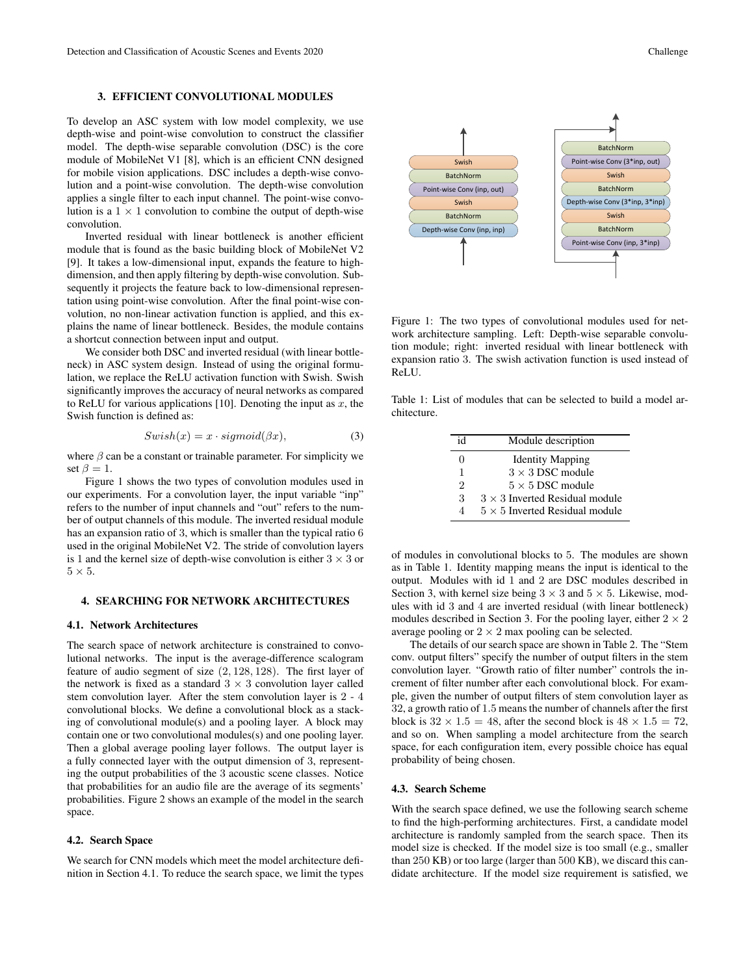To develop an ASC system with low model complexity, we use depth-wise and point-wise convolution to construct the classifier model. The depth-wise separable convolution (DSC) is the core module of MobileNet V1 [8], which is an efficient CNN designed for mobile vision applications. DSC includes a depth-wise convolution and a point-wise convolution. The depth-wise convolution applies a single filter to each input channel. The point-wise convolution is a  $1 \times 1$  convolution to combine the output of depth-wise convolution.

Inverted residual with linear bottleneck is another efficient module that is found as the basic building block of MobileNet V2 [9]. It takes a low-dimensional input, expands the feature to highdimension, and then apply filtering by depth-wise convolution. Subsequently it projects the feature back to low-dimensional representation using point-wise convolution. After the final point-wise convolution, no non-linear activation function is applied, and this explains the name of linear bottleneck. Besides, the module contains a shortcut connection between input and output.

We consider both DSC and inverted residual (with linear bottleneck) in ASC system design. Instead of using the original formulation, we replace the ReLU activation function with Swish. Swish significantly improves the accuracy of neural networks as compared to ReLU for various applications [10]. Denoting the input as  $x$ , the Swish function is defined as:

$$
Swish(x) = x \cdot sigmoid(\beta x), \tag{3}
$$

where  $\beta$  can be a constant or trainable parameter. For simplicity we set  $\beta = 1$ .

Figure 1 shows the two types of convolution modules used in our experiments. For a convolution layer, the input variable "inp" refers to the number of input channels and "out" refers to the number of output channels of this module. The inverted residual module has an expansion ratio of 3, which is smaller than the typical ratio 6 used in the original MobileNet V2. The stride of convolution layers is 1 and the kernel size of depth-wise convolution is either  $3 \times 3$  or  $5 \times 5$ .

# 4. SEARCHING FOR NETWORK ARCHITECTURES

#### 4.1. Network Architectures

The search space of network architecture is constrained to convolutional networks. The input is the average-difference scalogram feature of audio segment of size (2, 128, 128). The first layer of the network is fixed as a standard  $3 \times 3$  convolution layer called stem convolution layer. After the stem convolution layer is 2 - 4 convolutional blocks. We define a convolutional block as a stacking of convolutional module(s) and a pooling layer. A block may contain one or two convolutional modules(s) and one pooling layer. Then a global average pooling layer follows. The output layer is a fully connected layer with the output dimension of 3, representing the output probabilities of the 3 acoustic scene classes. Notice that probabilities for an audio file are the average of its segments' probabilities. Figure 2 shows an example of the model in the search space.

# 4.2. Search Space

We search for CNN models which meet the model architecture definition in Section 4.1. To reduce the search space, we limit the types



Figure 1: The two types of convolutional modules used for network architecture sampling. Left: Depth-wise separable convolution module; right: inverted residual with linear bottleneck with expansion ratio 3. The swish activation function is used instead of ReLU.

Table 1: List of modules that can be selected to build a model architecture.

| id                          | Module description                    |
|-----------------------------|---------------------------------------|
| 0                           | <b>Identity Mapping</b>               |
| 1                           | $3 \times 3$ DSC module               |
| $\mathcal{D}_{\mathcal{L}}$ | $5 \times 5$ DSC module               |
| 3                           | $3 \times 3$ Inverted Residual module |
| 4                           | $5 \times 5$ Inverted Residual module |

of modules in convolutional blocks to 5. The modules are shown as in Table 1. Identity mapping means the input is identical to the output. Modules with id 1 and 2 are DSC modules described in Section 3, with kernel size being  $3 \times 3$  and  $5 \times 5$ . Likewise, modules with id 3 and 4 are inverted residual (with linear bottleneck) modules described in Section 3. For the pooling layer, either  $2 \times 2$ average pooling or  $2 \times 2$  max pooling can be selected.

The details of our search space are shown in Table 2. The "Stem conv. output filters" specify the number of output filters in the stem convolution layer. "Growth ratio of filter number" controls the increment of filter number after each convolutional block. For example, given the number of output filters of stem convolution layer as 32, a growth ratio of 1.5 means the number of channels after the first block is  $32 \times 1.5 = 48$ , after the second block is  $48 \times 1.5 = 72$ , and so on. When sampling a model architecture from the search space, for each configuration item, every possible choice has equal probability of being chosen.

# 4.3. Search Scheme

With the search space defined, we use the following search scheme to find the high-performing architectures. First, a candidate model architecture is randomly sampled from the search space. Then its model size is checked. If the model size is too small (e.g., smaller than 250 KB) or too large (larger than 500 KB), we discard this candidate architecture. If the model size requirement is satisfied, we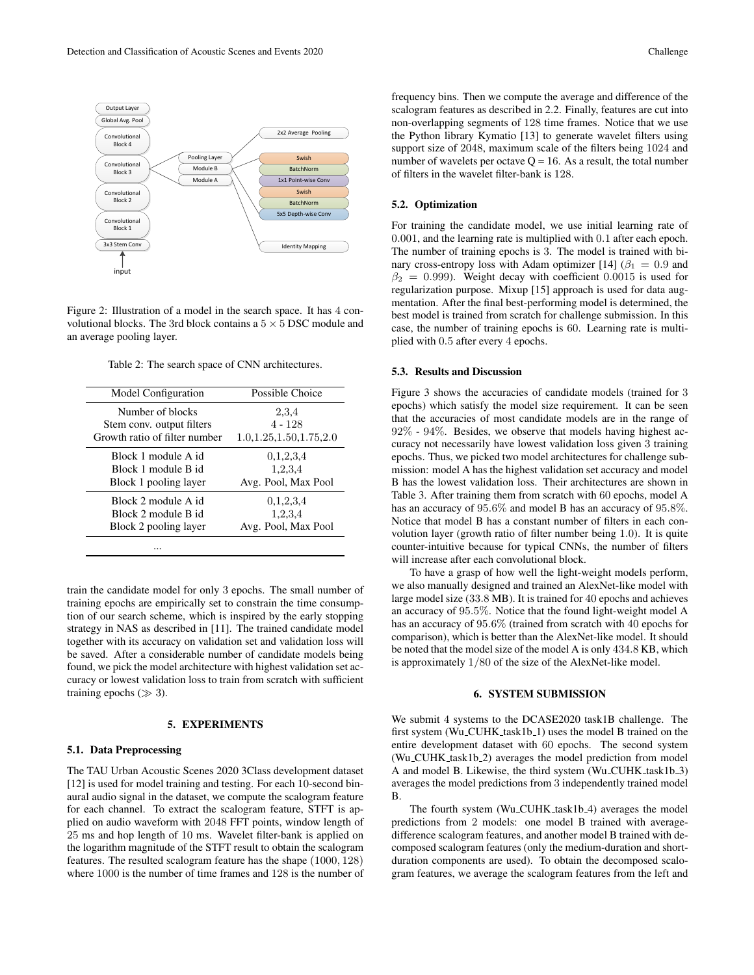

Figure 2: Illustration of a model in the search space. It has 4 convolutional blocks. The 3rd block contains a  $5 \times 5$  DSC module and an average pooling layer.

Table 2: The search space of CNN architectures.

| <b>Model Configuration</b>    | Possible Choice            |  |
|-------------------------------|----------------------------|--|
| Number of blocks              | 2,3,4                      |  |
| Stem conv. output filters     | $4 - 128$                  |  |
| Growth ratio of filter number | 1.0, 1.25, 1.50, 1.75, 2.0 |  |
| Block 1 module A id           | 0,1,2,3,4                  |  |
| Block 1 module B id           | 1.2.3.4                    |  |
| Block 1 pooling layer         | Avg. Pool, Max Pool        |  |
| Block 2 module A id           | 0.1.2.3.4                  |  |
| Block 2 module B id           | 1.2.3.4                    |  |
| Block 2 pooling layer         | Avg. Pool, Max Pool        |  |
|                               |                            |  |

train the candidate model for only 3 epochs. The small number of training epochs are empirically set to constrain the time consumption of our search scheme, which is inspired by the early stopping strategy in NAS as described in [11]. The trained candidate model together with its accuracy on validation set and validation loss will be saved. After a considerable number of candidate models being found, we pick the model architecture with highest validation set accuracy or lowest validation loss to train from scratch with sufficient training epochs ( $\gg$  3).

# 5. EXPERIMENTS

# 5.1. Data Preprocessing

The TAU Urban Acoustic Scenes 2020 3Class development dataset [12] is used for model training and testing. For each 10-second binaural audio signal in the dataset, we compute the scalogram feature for each channel. To extract the scalogram feature, STFT is applied on audio waveform with 2048 FFT points, window length of 25 ms and hop length of 10 ms. Wavelet filter-bank is applied on the logarithm magnitude of the STFT result to obtain the scalogram features. The resulted scalogram feature has the shape (1000, 128) where 1000 is the number of time frames and 128 is the number of

frequency bins. Then we compute the average and difference of the scalogram features as described in 2.2. Finally, features are cut into non-overlapping segments of 128 time frames. Notice that we use the Python library Kymatio [13] to generate wavelet filters using support size of 2048, maximum scale of the filters being 1024 and number of wavelets per octave  $Q = 16$ . As a result, the total number of filters in the wavelet filter-bank is 128.

# 5.2. Optimization

For training the candidate model, we use initial learning rate of 0.001, and the learning rate is multiplied with 0.1 after each epoch. The number of training epochs is 3. The model is trained with binary cross-entropy loss with Adam optimizer [14] ( $\beta_1 = 0.9$  and  $\beta_2 = 0.999$ ). Weight decay with coefficient 0.0015 is used for regularization purpose. Mixup [15] approach is used for data augmentation. After the final best-performing model is determined, the best model is trained from scratch for challenge submission. In this case, the number of training epochs is 60. Learning rate is multiplied with 0.5 after every 4 epochs.

# 5.3. Results and Discussion

Figure 3 shows the accuracies of candidate models (trained for 3 epochs) which satisfy the model size requirement. It can be seen that the accuracies of most candidate models are in the range of 92% - 94%. Besides, we observe that models having highest accuracy not necessarily have lowest validation loss given 3 training epochs. Thus, we picked two model architectures for challenge submission: model A has the highest validation set accuracy and model B has the lowest validation loss. Their architectures are shown in Table 3. After training them from scratch with 60 epochs, model A has an accuracy of 95.6% and model B has an accuracy of 95.8%. Notice that model B has a constant number of filters in each convolution layer (growth ratio of filter number being 1.0). It is quite counter-intuitive because for typical CNNs, the number of filters will increase after each convolutional block.

To have a grasp of how well the light-weight models perform, we also manually designed and trained an AlexNet-like model with large model size (33.8 MB). It is trained for 40 epochs and achieves an accuracy of 95.5%. Notice that the found light-weight model A has an accuracy of 95.6% (trained from scratch with 40 epochs for comparison), which is better than the AlexNet-like model. It should be noted that the model size of the model A is only 434.8 KB, which is approximately 1/80 of the size of the AlexNet-like model.

#### 6. SYSTEM SUBMISSION

We submit 4 systems to the DCASE2020 task1B challenge. The first system (Wu<sub>-CUHK-task1b-1)</sub> uses the model B trained on the entire development dataset with 60 epochs. The second system (Wu\_CUHK\_task1b\_2) averages the model prediction from model A and model B. Likewise, the third system (Wu\_CUHK\_task1b\_3) averages the model predictions from 3 independently trained model B.

The fourth system (Wu\_CUHK\_task1b\_4) averages the model predictions from 2 models: one model B trained with averagedifference scalogram features, and another model B trained with decomposed scalogram features (only the medium-duration and shortduration components are used). To obtain the decomposed scalogram features, we average the scalogram features from the left and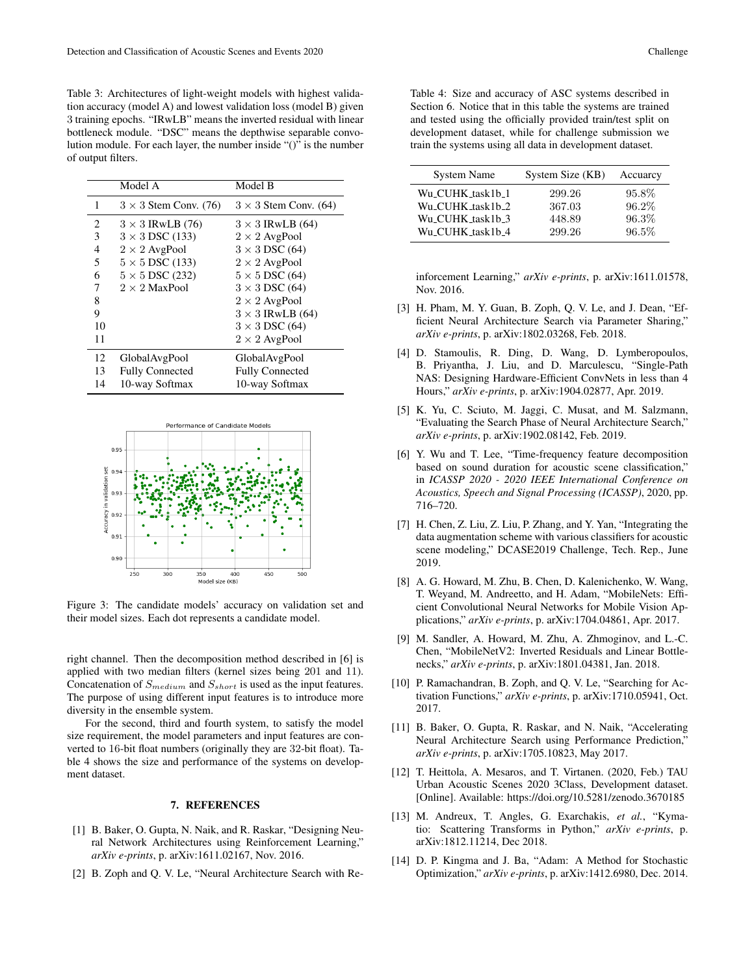Table 3: Architectures of light-weight models with highest validation accuracy (model A) and lowest validation loss (model B) given 3 training epochs. "IRwLB" means the inverted residual with linear bottleneck module. "DSC" means the depthwise separable convolution module. For each layer, the number inside "()" is the number of output filters.

|    | Model A                      | Model B                      |
|----|------------------------------|------------------------------|
| 1  | $3 \times 3$ Stem Conv. (76) | $3 \times 3$ Stem Conv. (64) |
| 2  | $3 \times 3$ IRwLB (76)      | $3 \times 3$ IRwLB (64)      |
| 3  | $3 \times 3$ DSC (133)       | $2 \times 2$ AvgPool         |
| 4  | $2 \times 2$ AvgPool         | $3 \times 3$ DSC (64)        |
| 5  | $5 \times 5$ DSC (133)       | $2 \times 2$ AvgPool         |
| 6  | $5 \times 5$ DSC (232)       | $5 \times 5$ DSC (64)        |
| 7  | $2 \times 2$ MaxPool         | $3 \times 3$ DSC (64)        |
| 8  |                              | $2 \times 2$ AvgPool         |
| 9  |                              | $3 \times 3$ IRwLB (64)      |
| 10 |                              | $3 \times 3$ DSC (64)        |
| 11 |                              | $2 \times 2$ AvgPool         |
| 12 | GlobalAvgPool                | GlobalAvgPool                |
| 13 | <b>Fully Connected</b>       | <b>Fully Connected</b>       |
| 14 | 10-way Softmax               | 10-way Softmax               |



Figure 3: The candidate models' accuracy on validation set and their model sizes. Each dot represents a candidate model.

right channel. Then the decomposition method described in [6] is applied with two median filters (kernel sizes being 201 and 11). Concatenation of  $S_{medium}$  and  $S_{short}$  is used as the input features. The purpose of using different input features is to introduce more diversity in the ensemble system.

For the second, third and fourth system, to satisfy the model size requirement, the model parameters and input features are converted to 16-bit float numbers (originally they are 32-bit float). Table 4 shows the size and performance of the systems on development dataset.

#### 7. REFERENCES

- [1] B. Baker, O. Gupta, N. Naik, and R. Raskar, "Designing Neural Network Architectures using Reinforcement Learning," *arXiv e-prints*, p. arXiv:1611.02167, Nov. 2016.
- [2] B. Zoph and Q. V. Le, "Neural Architecture Search with Re-

Table 4: Size and accuracy of ASC systems described in Section 6. Notice that in this table the systems are trained and tested using the officially provided train/test split on development dataset, while for challenge submission we train the systems using all data in development dataset.

| <b>System Name</b> | System Size (KB) | Accuarcy |
|--------------------|------------------|----------|
| Wu_CUHK_task1b_1   | 299.26           | 95.8%    |
| Wu_CUHK_task1b_2   | 367.03           | 96.2%    |
| Wu_CUHK_task1b_3   | 448.89           | 96.3%    |
| Wu_CUHK_task1b_4   | 299.26           | 96.5%    |

inforcement Learning," *arXiv e-prints*, p. arXiv:1611.01578, Nov. 2016.

- [3] H. Pham, M. Y. Guan, B. Zoph, Q. V. Le, and J. Dean, "Efficient Neural Architecture Search via Parameter Sharing," *arXiv e-prints*, p. arXiv:1802.03268, Feb. 2018.
- [4] D. Stamoulis, R. Ding, D. Wang, D. Lymberopoulos, B. Priyantha, J. Liu, and D. Marculescu, "Single-Path NAS: Designing Hardware-Efficient ConvNets in less than 4 Hours," *arXiv e-prints*, p. arXiv:1904.02877, Apr. 2019.
- [5] K. Yu, C. Sciuto, M. Jaggi, C. Musat, and M. Salzmann, "Evaluating the Search Phase of Neural Architecture Search," *arXiv e-prints*, p. arXiv:1902.08142, Feb. 2019.
- [6] Y. Wu and T. Lee, "Time-frequency feature decomposition based on sound duration for acoustic scene classification," in *ICASSP 2020 - 2020 IEEE International Conference on Acoustics, Speech and Signal Processing (ICASSP)*, 2020, pp. 716–720.
- [7] H. Chen, Z. Liu, Z. Liu, P. Zhang, and Y. Yan, "Integrating the data augmentation scheme with various classifiers for acoustic scene modeling," DCASE2019 Challenge, Tech. Rep., June 2019.
- [8] A. G. Howard, M. Zhu, B. Chen, D. Kalenichenko, W. Wang, T. Weyand, M. Andreetto, and H. Adam, "MobileNets: Efficient Convolutional Neural Networks for Mobile Vision Applications," *arXiv e-prints*, p. arXiv:1704.04861, Apr. 2017.
- [9] M. Sandler, A. Howard, M. Zhu, A. Zhmoginov, and L.-C. Chen, "MobileNetV2: Inverted Residuals and Linear Bottlenecks," *arXiv e-prints*, p. arXiv:1801.04381, Jan. 2018.
- [10] P. Ramachandran, B. Zoph, and Q. V. Le, "Searching for Activation Functions," *arXiv e-prints*, p. arXiv:1710.05941, Oct. 2017.
- [11] B. Baker, O. Gupta, R. Raskar, and N. Naik, "Accelerating Neural Architecture Search using Performance Prediction,' *arXiv e-prints*, p. arXiv:1705.10823, May 2017.
- [12] T. Heittola, A. Mesaros, and T. Virtanen. (2020, Feb.) TAU Urban Acoustic Scenes 2020 3Class, Development dataset. [Online]. Available: https://doi.org/10.5281/zenodo.3670185
- [13] M. Andreux, T. Angles, G. Exarchakis, *et al.*, "Kymatio: Scattering Transforms in Python," *arXiv e-prints*, p. arXiv:1812.11214, Dec 2018.
- [14] D. P. Kingma and J. Ba, "Adam: A Method for Stochastic Optimization," *arXiv e-prints*, p. arXiv:1412.6980, Dec. 2014.